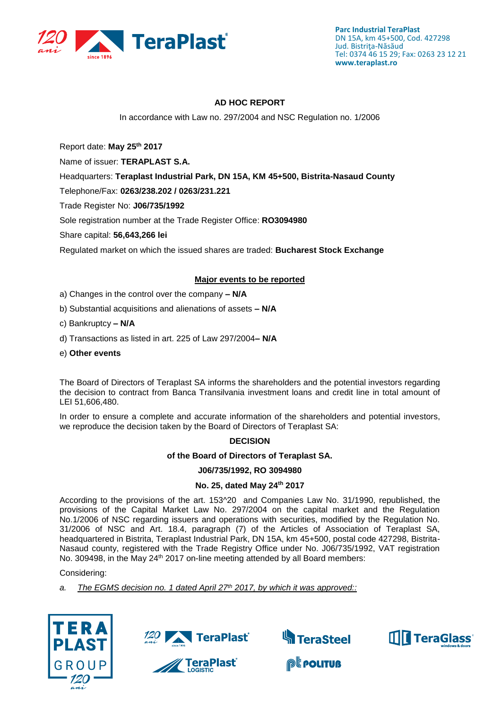

## **AD HOC REPORT**

In accordance with Law no. 297/2004 and NSC Regulation no. 1/2006

Report date: **May 25th 2017**

Name of issuer: **TERAPLAST S.A.** 

Headquarters: **Teraplast Industrial Park, DN 15A, KM 45+500, Bistrita-Nasaud County**

Telephone/Fax: **0263/238.202 / 0263/231.221**

Trade Register No: **J06/735/1992**

Sole registration number at the Trade Register Office: **RO3094980**

Share capital: **56,643,266 lei** 

Regulated market on which the issued shares are traded: **Bucharest Stock Exchange**

## **Major events to be reported**

- a) Changes in the control over the company **– N/A**
- b) Substantial acquisitions and alienations of assets **– N/A**
- c) Bankruptcy **– N/A**
- d) Transactions as listed in art. 225 of Law 297/2004**– N/A**
- e) **Other events**

The Board of Directors of Teraplast SA informs the shareholders and the potential investors regarding the decision to contract from Banca Transilvania investment loans and credit line in total amount of LEI 51,606,480.

In order to ensure a complete and accurate information of the shareholders and potential investors, we reproduce the decision taken by the Board of Directors of Teraplast SA:

#### **DECISION**

#### **of the Board of Directors of Teraplast SA.**

#### **J06/735/1992, RO 3094980**

#### **No. 25, dated May 24th 2017**

According to the provisions of the art. 153^20 and Companies Law No. 31/1990, republished, the provisions of the Capital Market Law No. 297/2004 on the capital market and the Regulation No.1/2006 of NSC regarding issuers and operations with securities, modified by the Regulation No. 31/2006 of NSC and Art. 18.4, paragraph (7) of the Articles of Association of Teraplast SA, headquartered in Bistrita, Teraplast Industrial Park, DN 15A, km 45+500, postal code 427298, Bistrita-Nasaud county, registered with the Trade Registry Office under No. J06/735/1992, VAT registration No. 309498, in the May 24<sup>th</sup> 2017 on-line meeting attended by all Board members:

#### Considering:

*a. The EGMS decision no. 1 dated April 27th 2017, by which it was approved::*

**∥ TeraPlast**⊂







**@Leouture** 

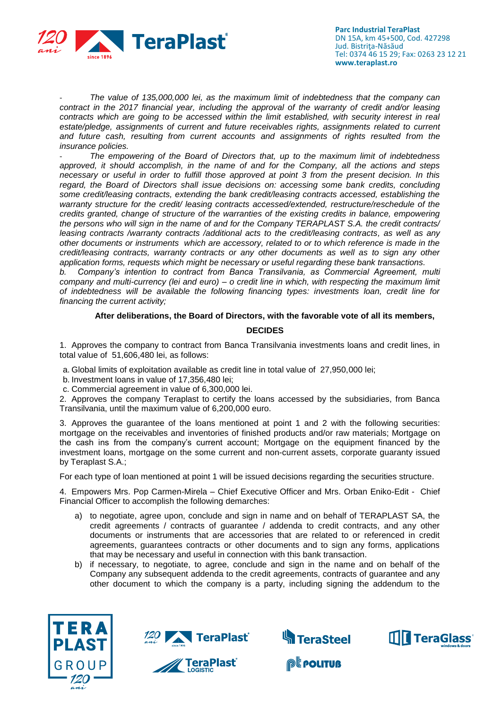

- *The value of 135,000,000 lei, as the maximum limit of indebtedness that the company can contract in the 2017 financial year, including the approval of the warranty of credit and/or leasing contracts which are going to be accessed within the limit established, with security interest in real*  estate/pledge, assignments of current and future receivables rights, assignments related to current *and future cash, resulting from current accounts and assignments of rights resulted from the insurance policies.*

- *The empowering of the Board of Directors that, up to the maximum limit of indebtedness approved, it should accomplish, in the name of and for the Company, all the actions and steps necessary or useful in order to fulfill those approved at point 3 from the present decision. In this regard, the Board of Directors shall issue decisions on: accessing some bank credits, concluding some credit/leasing contracts, extending the bank credit/leasing contracts accessed, establishing the warranty structure for the credit/ leasing contracts accessed/extended, restructure/reschedule of the credits granted, change of structure of the warranties of the existing credits in balance, empowering the persons who will sign in the name of and for the Company TERAPLAST S.A. the credit contracts/ leasing contracts /warranty contracts /additional acts to the credit/leasing contracts, as well as any other documents or instruments which are accessory, related to or to which reference is made in the credit/leasing contracts, warranty contracts or any other documents as well as to sign any other application forms, requests which might be necessary or useful regarding these bank transactions.*

*b. Company's intention to contract from Banca Transilvania, as Commercial Agreement, multi company and multi-currency (lei and euro) – o credit line in which, with respecting the maximum limit of indebtedness will be available the following financing types: investments loan, credit line for financing the current activity;*

## **After deliberations, the Board of Directors, with the favorable vote of all its members,**

### **DECIDES**

1. Approves the company to contract from Banca Transilvania investments loans and credit lines, in total value of 51,606,480 lei, as follows:

a. Global limits of exploitation available as credit line in total value of 27,950,000 lei;

- b. Investment loans in value of 17,356,480 lei;
- c. Commercial agreement in value of 6,300,000 lei.

2. Approves the company Teraplast to certify the loans accessed by the subsidiaries, from Banca Transilvania, until the maximum value of 6,200,000 euro.

3. Approves the guarantee of the loans mentioned at point 1 and 2 with the following securities: mortgage on the receivables and inventories of finished products and/or raw materials; Mortgage on the cash ins from the company's current account; Mortgage on the equipment financed by the investment loans, mortgage on the some current and non-current assets, corporate guaranty issued by Teraplast S.A.;

For each type of loan mentioned at point 1 will be issued decisions regarding the securities structure.

4. Empowers Mrs. Pop Carmen-Mirela – Chief Executive Officer and Mrs. Orban Eniko-Edit - Chief Financial Officer to accomplish the following demarches:

- a) to negotiate, agree upon, conclude and sign in name and on behalf of TERAPLAST SA, the credit agreements / contracts of guarantee / addenda to credit contracts, and any other documents or instruments that are accessories that are related to or referenced in credit agreements, guarantees contracts or other documents and to sign any forms, applications that may be necessary and useful in connection with this bank transaction.
- b) if necessary, to negotiate, to agree, conclude and sign in the name and on behalf of the Company any subsequent addenda to the credit agreements, contracts of guarantee and any other document to which the company is a party, including signing the addendum to the







**@Leouture**